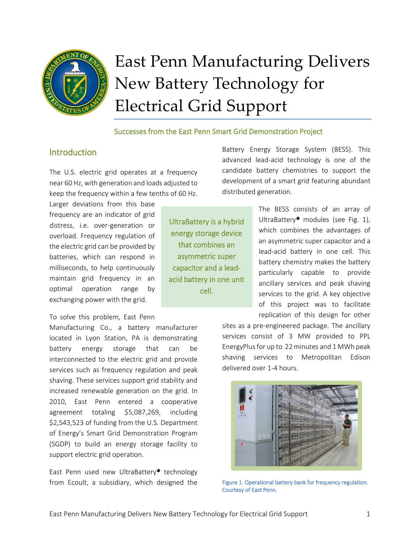

# East Penn Manufacturing Delivers New Battery Technology for Electrical Grid Support

## Successes from the East Penn Smart Grid Demonstration Project

## **Introduction**

The U.S. electric grid operates at a frequency near 60 Hz, with generation and loads adjusted to keep the frequency within a few tenths of 60 Hz.

Larger deviations from this base frequency are an indicator of grid distress, i.e. over-generation or overload. Frequency regulation of the electric grid can be provided by batteries, which can respond in milliseconds, to help continuously maintain grid frequency in an optimal operation range by exchanging power with the grid.

To solve this problem, East Penn

Manufacturing Co., a battery manufacturer located in Lyon Station, PA is demonstrating battery energy storage that can be interconnected to the electric grid and provide services such as frequency regulation and peak shaving. These services support grid stability and increased renewable generation on the grid. In 2010, East Penn entered a cooperative agreement totaling \$5,087,269, including \$2,543,523 of funding from the U.S. Department of Energy's [Smart Grid Demonstration Program](https://smartgrid.gov/recovery_act/overview/smart_grid_demonstration_program) (SGDP) to build an energy storage facility to support electric grid operation.

East Penn used new UltraBattery® technology from Ecoult, a subsidiary, which designed the

UltraBattery is a hybrid energy storage device that combines an asymmetric super capacitor and a leadacid battery in one unit cell.

Battery Energy Storage System (BESS). This advanced lead-acid technology is one of the candidate battery chemistries to support the development of a smart grid featuring abundant distributed generation.

> The BESS consists of an array of UltraBattery<sup>®</sup> modules (see Fig. 1), which combines the advantages of an asymmetric super capacitor and a lead-acid battery in one cell. This battery chemistry makes the battery particularly capable to provide ancillary services and peak shaving services to the grid. A key objective of this project was to facilitate replication of this design for other

sites as a pre-engineered package. The ancillary services consist of 3 MW provided to PPL EnergyPlusfor up to 22 minutes and 1 MWh peak shaving services to Metropolitan Edison delivered over 1-4 hours.



Figure 1. Operational battery bank for frequency regulation. Courtesy of East Penn.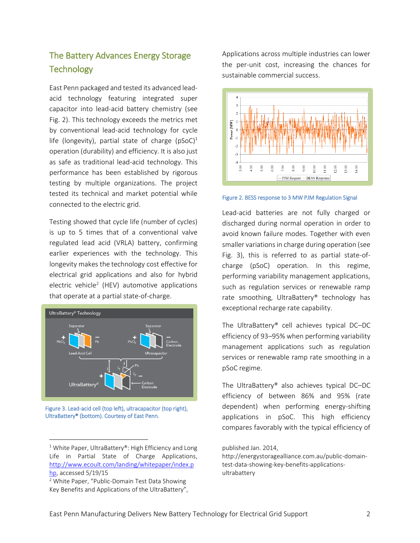# The Battery Advances Energy Storage **Technology**

East Penn packaged and tested its advanced leadacid technology featuring integrated super capacitor into lead-acid battery chemistry (see Fig. 2). This technology exceeds the metrics met by conventional lead-acid technology for cycle life (longevity), partial state of charge ( $pSoC$ )<sup>1</sup> operation (durability) and efficiency. It is also just as safe as traditional lead-acid technology. This performance has been established by rigorous testing by multiple organizations. The project tested its technical and market potential while connected to the electric grid.

Testing showed that cycle life (number of cycles) is up to 5 times that of a conventional valve regulated lead acid (VRLA) battery, confirming earlier experiences with the technology. This longevity makes the technology cost effective for electrical grid applications and also for hybrid electric vehicle<sup>2</sup> (HEV) automotive applications that operate at a partial state-of-charge.



Figure 3. Lead-acid cell (top left), ultracapacitor (top right), UltraBattery® (bottom). Courtesy of East Penn.

 $\overline{a}$ 

Applications across multiple industries can lower the per-unit cost, increasing the chances for sustainable commercial success.



Figure 2. BESS response to 3 MW PJM Regulation Signal

Lead-acid batteries are not fully charged or discharged during normal operation in order to avoid known failure modes. Together with even smaller variations in charge during operation (see Fig. 3), this is referred to as partial state-ofcharge (pSoC) operation. In this regime, performing variability management applications, such as regulation services or renewable ramp rate smoothing, UltraBattery® technology has exceptional recharge rate capability.

The UltraBattery® cell achieves typical DC–DC efficiency of 93–95% when performing variability management applications such as regulation services or renewable ramp rate smoothing in a pSoC regime.

The UltraBattery® also achieves typical DC–DC efficiency of between 86% and 95% (rate dependent) when performing energy-shifting applications in pSoC. This high efficiency compares favorably with the typical efficiency of

#### published Jan. 2014,

http://energystoragealliance.com.au/public-domaintest-data-showing-key-benefits-applicationsultrabattery

 $1$  White Paper, UltraBattery®: High Efficiency and Long Life in Partial State of Charge Applications, [http://www.ecoult.com/landing/whitepaper/index.p](http://www.ecoult.com/landing/whitepaper/index.php) [hp,](http://www.ecoult.com/landing/whitepaper/index.php) accessed 5/19/15

<sup>&</sup>lt;sup>2</sup> White Paper, "Public-Domain Test Data Showing Key Benefits and Applications of the UltraBattery",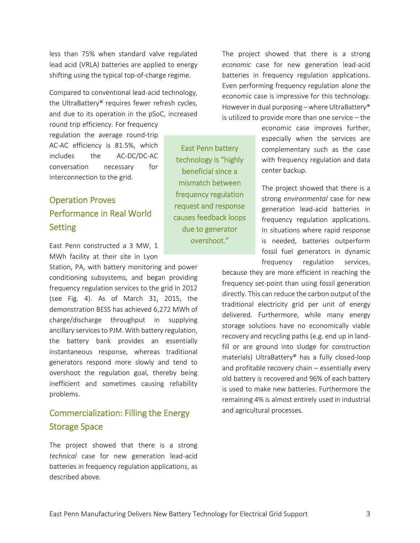less than 75% when standard valve regulated lead acid (VRLA) batteries are applied to energy shifting using the typical top-of-charge regime.

Compared to conventional lead-acid technology, the UltraBattery® requires fewer refresh cycles, and due to its operation in the pSoC, increased

> East Penn battery technology is "highly beneficial since a mismatch between frequency regulation request and response causes feedback loops due to generator overshoot."

round trip efficiency. For frequency regulation the average round-trip AC-AC efficiency is 81.5%, which includes the AC-DC/DC-AC conversation necessary for interconnection to the grid.

# Operation Proves Performance in Real World **Setting**

East Penn constructed a 3 MW, 1 MWh facility at their site in Lyon

Station, PA, with battery monitoring and power conditioning subsystems, and began providing frequency regulation services to the grid in 2012 (see Fig. 4). As of March 31, 2015, the demonstration BESS has achieved 6,272 MWh of charge/discharge throughput in supplying ancillary services to PJM. With battery regulation, the battery bank provides an essentially instantaneous response, whereas traditional generators respond more slowly and tend to overshoot the regulation goal, thereby being inefficient and sometimes causing reliability problems.

# Commercialization: Filling the Energy Storage Space

The project showed that there is a strong *technical* case for new generation lead-acid batteries in frequency regulation applications, as described above.

The project showed that there is a strong *economic* case for new generation lead-acid batteries in frequency regulation applications. Even performing frequency regulation alone the economic case is impressive for this technology. However in dual purposing – where UltraBattery® is utilized to provide more than one service – the

> economic case improves further, especially when the services are complementary such as the case with frequency regulation and data center backup.

> The project showed that there is a strong *environmental* case for new generation lead-acid batteries in frequency regulation applications. In situations where rapid response is needed, batteries outperform fossil fuel generators in dynamic frequency regulation services,

because they are more efficient in reaching the frequency set-point than using fossil generation directly. This can reduce the carbon output of the traditional electricity grid per unit of energy delivered. Furthermore, while many energy storage solutions have no economically viable recovery and recycling paths (e.g. end up in landfill or are ground into sludge for construction materials) UltraBattery® has a fully closed-loop and profitable recovery chain – essentially every old battery is recovered and 96% of each battery is used to make new batteries. Furthermore the remaining 4% is almost entirely used in industrial and agricultural processes.